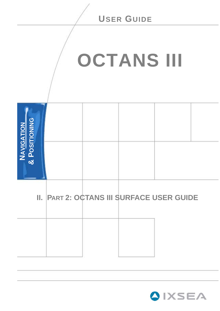<span id="page-0-0"></span>

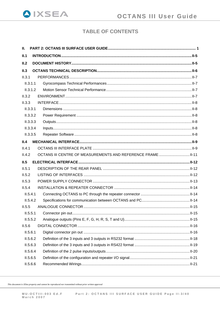

# **TABLE OF CONTENTS**

| Ш.                   |                                                              |  |
|----------------------|--------------------------------------------------------------|--|
| II.1                 |                                                              |  |
| II.2                 |                                                              |  |
| II.3                 |                                                              |  |
| II.3.1               |                                                              |  |
| II.3.1.1             |                                                              |  |
| II.3.1.2             |                                                              |  |
| II.3.2               |                                                              |  |
| II.3.3               |                                                              |  |
| II.3.3.1             |                                                              |  |
| II.3.3.2             |                                                              |  |
| II.3.3.3             |                                                              |  |
| II.3.3.4             |                                                              |  |
| II.3.3.5             |                                                              |  |
| II.4                 |                                                              |  |
| II.4.1               |                                                              |  |
| II.4.2               | OCTANS III CENTRE OF MEASUREMENTS AND REFERENCE FRAME  II-11 |  |
|                      |                                                              |  |
| II.5                 |                                                              |  |
| II.5.1               |                                                              |  |
| II.5.2               |                                                              |  |
| II.5.3               |                                                              |  |
| II.5.4               |                                                              |  |
| II.5.4.1             |                                                              |  |
| II.5.4.2             |                                                              |  |
| II.5.5               |                                                              |  |
| II.5.5.1             |                                                              |  |
| II.5.5.2             |                                                              |  |
| II.5.6               |                                                              |  |
| II.5.6.1             |                                                              |  |
| II.5.6.2             |                                                              |  |
| II.5.6.3             |                                                              |  |
| II.5.6.4             |                                                              |  |
| II.5.6.5<br>II.5.6.6 |                                                              |  |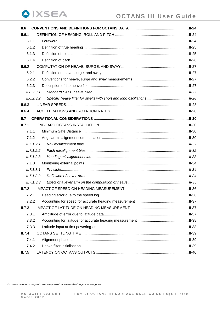| II.6       |  |
|------------|--|
| II.6.1     |  |
| II.6.1.1   |  |
| II.6.1.2   |  |
| II.6.1.3   |  |
| II.6.1.4   |  |
| II.6.2     |  |
| II.6.2.1   |  |
| II.6.2.2   |  |
| II.6.2.3   |  |
| II.6.2.3.1 |  |
| II.6.2.3.2 |  |
| II.6.3     |  |
| II.6.4     |  |
| II.7       |  |
| II.7.1     |  |
| II.7.1.1   |  |
| II.7.1.2   |  |
| II.7.1.2.1 |  |
| II.7.1.2.2 |  |
| II.7.1.2.3 |  |
| II.7.1.3   |  |
| II.7.1.3.1 |  |
| II.7.1.3.2 |  |
| II.7.1.3.3 |  |
| II.7.2     |  |
| II.7.2.1   |  |
| II.7.2.2   |  |
| II.7.3     |  |
| II.7.3.1   |  |
| II.7.3.2   |  |
| II.7.3.3   |  |
| II.7.4     |  |
| II.7.4.1   |  |
| II.7.4.2   |  |
| II.7.5     |  |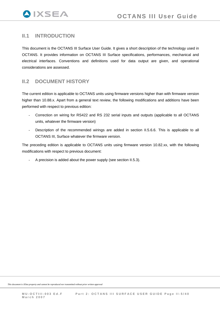# <span id="page-4-0"></span>**II.1 INTRODUCTION**

This document is the OCTANS III Surface User Guide. It gives a short description of the technology used in OCTANS. It provides information on OCTANS III Surface specifications, performances, mechanical and electrical interfaces. Conventions and definitions used for data output are given, and operational considerations are assessed.

# **II.2 DOCUMENT HISTORY**

The current edition is applicable to OCTANS units using firmware versions higher than with firmware version higher than 10.88.x. Apart from a general text review, the following modifications and additions have been performed with respect to previous edition:

- Correction on wiring for RS422 and RS 232 serial inputs and outputs (applicable to all OCTANS units, whatever the firmware version)
- Description of the recommended wirings are added in section [II.5.6.6.](#page-20-1) This is applicable to all OCTANS III, Surface whatever the firmware version.

The preceding edition is applicable to OCTANS units using firmware version 10.82.xx, with the following modifications with respect to previous document:

A precision is added about the power supply (see section [II.5.3](#page-12-1)).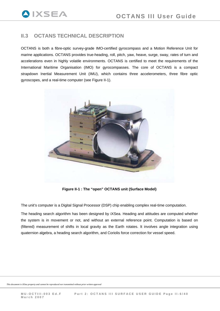# <span id="page-5-0"></span>**II.3 OCTANS TECHNICAL DESCRIPTION**

OCTANS is both a fibre-optic survey-grade IMO-certified gyrocompass and a Motion Reference Unit for marine applications. OCTANS provides true-heading, roll, pitch, yaw, heave, surge, sway, rates of turn and accelerations even in highly volatile environments. OCTANS is certified to meet the requirements of the International Maritime Organisation (IMO) for gyrocompasses. The core of OCTANS is a compact strapdown Inertial Measurement Unit (IMU), which contains three accelerometers, three fibre optic gyroscopes, and a real-time computer (see [Figure II-1](#page-5-1)).



**Figure II-1 : The "open" OCTANS unit (Surface Model)** 

<span id="page-5-1"></span>The unit's computer is a Digital Signal Processor (DSP) chip enabling complex real-time computation.

The heading search algorithm has been designed by iXSea. Heading and attitudes are computed whether the system is in movement or not, and without an external reference point. Computation is based on (filtered) measurement of shifts in local gravity as the Earth rotates. It involves angle integration using quaternion algebra, a heading search algorithm, and Coriolis force correction for vessel speed.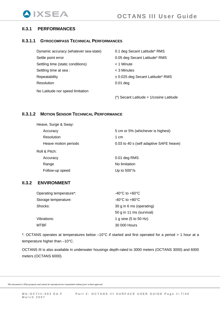# <span id="page-6-0"></span>**II.3.1 PERFORMANCES**

## **II.3.1.1 GYROCOMPASS TECHNICAL PERFORMANCES**

| Dynamic accuracy (whatever sea-state) | 0.1 deg Secant Latitude* RMS              |
|---------------------------------------|-------------------------------------------|
| Settle point error                    | 0.05 deg Secant Latitude* RMS             |
| Settling time (static conditions)     | < 1 Minute                                |
| Settling time at sea:                 | < 3 Minutes                               |
| Repeatability                         | $\pm$ 0.025 deg Secant Latitude* RMS      |
| Resolution                            | $0.01$ deg                                |
| No Latitude nor speed limitation      |                                           |
|                                       | $(*)$ Secant Latitude = 1/cosine Latitude |

## **II.3.1.2 MOTION SENSOR TECHNICAL PERFORMANCE**

| Heave, Surge & Sway: |                                         |
|----------------------|-----------------------------------------|
| Accuracy             | 5 cm or 5% (whichever is highest)       |
| <b>Resolution</b>    | 1 cm                                    |
| Heave motion periods | 0.03 to 40 s (self adaptive SAFE heave) |
| Roll & Pitch:        |                                         |
| Accuracy             | 0.01 deg RMS                            |
| Range                | No limitation                           |
| Follow-up speed      | Up to $500^{\circ}/s$                   |

# **II.3.2 ENVIRONMENT**

| Operating temperature*: | $-40^{\circ}$ C to $+60^{\circ}$ C |
|-------------------------|------------------------------------|
| Storage temperature:    | $-40^{\circ}$ C to $+80^{\circ}$ C |
| Shocks:                 | 30 g in 6 ms (operating)           |
|                         | 50 g in 11 ms (survival)           |
| Vibrations:             | 1 g sine (5 to 50 Hz)              |
| MTBF                    | 30 000 Hours                       |

\*: OCTANS operates at temperatures below –10°C if started and first operated for a period > 1 hour at a temperature higher than –10°C.

OCTANS III is also available in underwater housings depth-rated to 3000 meters (OCTANS 3000) and 6000 meters (OCTANS 6000).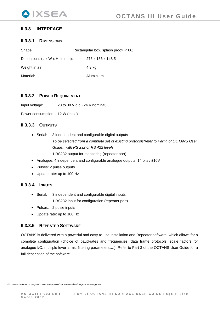# <span id="page-7-0"></span>**II.3.3 INTERFACE**

## **II.3.3.1 DIMENSIONS**

| Shape:                                              | Rectangular box, splash proof(IP 66) |
|-----------------------------------------------------|--------------------------------------|
| Dimensions $(L \times W \times H, \text{ in mm})$ : | 276 x 136 x 148.5                    |
| Weight in air:                                      | 4.3 kg                               |
| Material:                                           | Aluminium                            |

## **II.3.3.2 POWER REQUIREMENT**

Input voltage: 20 to 30 V d.c. (24 V nominal)

Power consumption: 12 W (max.)

# **II.3.3.3 OUTPUTS**

- Serial: 3 independent and configurable digital outputs  *To be selected from a complete set of existing protocols(refer to Part 4 of OCTANS User Guide), with RS 232 or RS 422 levels*  1 RS232 output for monitoring (repeater port)
- Analogue: 4 independent and configurable analogue outputs, 14 bits  $/ \pm 10V$
- Pulses: 2 pulse outputs
- Update rate: up to 100 Hz

## **II.3.3.4 INPUTS**

• Serial: 3 independent and configurable digital inputs

1 RS232 input for configuration (repeater port)

- Pulses: 2 pulse inputs
- Update rate: up to 100 Hz

# **II.3.3.5 REPEATER SOFTWARE**

OCTANS is delivered with a powerful and easy-to-use Installation and Repeater software, which allows for a complete configuration (choice of baud-rates and frequencies, data frame protocols, scale factors for analogue I/O, multiple lever arms, filtering parameters….). Refer to Part 3 of the OCTANS User Guide for a full description of the software.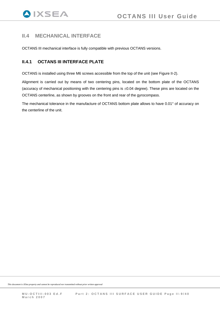# <span id="page-8-0"></span>**II.4 MECHANICAL INTERFACE**

OCTANS III mechanical interface is fully compatible with previous OCTANS versions.

# **II.4.1 OCTANS III INTERFACE PLATE**

OCTANS is installed using three M6 screws accessible from the top of the unit (see [Figure II-2](#page-9-0)).

Alignment is carried out by means of two centering pins, located on the bottom plate of the OCTANS (accuracy of mechanical positioning with the centering pins is  $\pm 0.04$  degree). These pins are located on the OCTANS centerline, as shown by grooves on the front and rear of the gyrocompass.

The mechanical tolerance in the manufacture of OCTANS bottom plate allows to have 0.01° of accuracy on the centerline of the unit.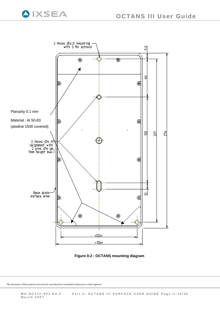

**Figure II-2 : OCTANS mounting diagram** 

<span id="page-9-0"></span>*This document is iXSea property and cannot be reproduced nor transmitted without prior written approval* 

**QIXSEA**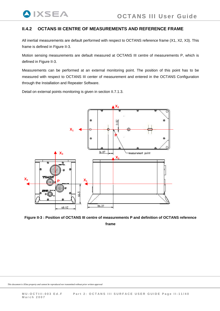# **II.4.2 OCTANS III CENTRE OF MEASUREMENTS AND REFERENCE FRAME**

All inertial measurements are default performed with respect to OCTANS reference frame (X1, X2, X3). This frame is defined in [Figure II-3.](#page-10-1)

Motion sensing measurements are default measured at OCTANS III centre of measurements P, which is defined in [Figure II-3](#page-10-1).

Measurements can be performed at an external monitoring point. The position of this point has to be measured with respect to OCTANS III center of measurement and entered in the OCTANS Configuration through the Installation and Repeater Software.

Detail on external points monitoring is given in section II.7.1.3.

<span id="page-10-0"></span>**QIXSEA** 



<span id="page-10-1"></span>Figure II-3 : Position of OCTANS III centre of measurements P and definition of OCTANS reference

**frame**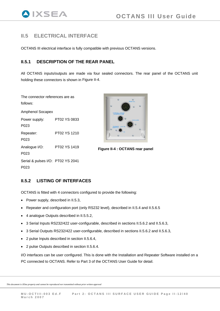# <span id="page-11-0"></span>**II.5 ELECTRICAL INTERFACE**

OCTANS III electrical interface is fully compatible with previous OCTANS versions.

# **II.5.1 DESCRIPTION OF THE REAR PANEL**

All OCTANS inputs/outputs are made via four sealed connectors. The rear panel of the OCTANS unit holding these connectors is shown in [Figure II-4.](#page-11-1)

The connector references are as follows:

Amphenol Socapex Power supply: PT02 YS 0833 P023 Repeater: PT02 YS 1210 P023 Analogue I/O: PT02 YS 1419 P023 Serial & pulses I/O: PT02 YS 2041 P023



**Figure II-4 : OCTANS rear panel** 

# <span id="page-11-1"></span>**II.5.2 LISTING OF INTERFACES**

OCTANS is fitted with 4 connectors configured to provide the following:

- Power supply, described in [II.5.3](#page-12-1),
- Repeater and configuration port (only RS232 level), described in [II.5.4](#page-13-1) and [II.5.6.5](#page-20-2)
- 4 analogue Outputs described in [II.5.5.2](#page-14-1),
- 3 Serial Inputs RS232/422 user-configurable, described in sections [II.5.6.2](#page-17-1) and [II.5.6.3,](#page-18-1)
- 3 Serial Outputs RS232/422 user-configurable, described in sections [II.5.6.2](#page-17-1) and [II.5.6.3,](#page-18-1)
- 2 pulse Inputs described in section [II.5.6.4,](#page-19-1)
- 2 pulse Outputs described in section [II.5.6.4](#page-19-1).

I/O interfaces can be user configured. This is done with the Installation and Repeater Software installed on a PC connected to OCTANS. Refer to Part 3 of the OCTANS User Guide for detail.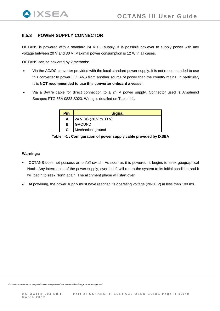# <span id="page-12-1"></span><span id="page-12-0"></span>**II.5.3 POWER SUPPLY CONNECTOR**

OCTANS is powered with a standard 24 V DC supply. It is possible however to supply power with any voltage between 20 V and 30 V. Maximal power consumption is 12 W in all cases.

OCTANS can be powered by 2 methods:

- Via the AC/DC converter provided with the local standard power supply. It is not recommended to use this converter to power OCTANS from another source of power than the country mains. In particular, **it is NOT recommended to use this converter onboard a vessel**.
- Via a 3-wire cable for direct connection to a 24 V power supply. Connector used is Amphenol Socapex PTG 55A 0833 S023. Wiring is detailed on [Table II-1.](#page-12-2)

| Pin | <b>Signal</b>          |  |  |
|-----|------------------------|--|--|
| A   | 24 V DC (20 V to 30 V) |  |  |
| в   | <b>GROUND</b>          |  |  |
| C   | Mechanical ground      |  |  |

**Table II-1 : Configuration of power supply cable provided by IXSEA** 

#### <span id="page-12-2"></span>**Warnings:**

- OCTANS does not possess an on/off switch. As soon as it is powered, it begins to seek geographical North. Any interruption of the power supply, even brief, will return the system to its initial condition and it will begin to seek North again. The alignment phase will start over.
- At powering, the power supply must have reached its operating voltage (20-30 V) in less than 100 ms.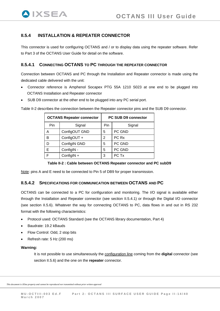# <span id="page-13-0"></span>**II.5.4 INSTALLATION & REPEATER CONNECTOR**

This connector is used for configuring OCTANS and / or to display data using the repeater software. Refer to Part 3 of the OCTANS User Guide for detail on the software.

## <span id="page-13-3"></span>**II.5.4.1 CONNECTING OCTANS TO PC THROUGH THE REPEATER CONNECTOR**

Connection between OCTANS and PC through the Installation and Repeater connector is made using the dedicated cable delivered with the unit:

- Connector reference is Amphenol Socapex PTG 55A 1210 S023 at one end to be plugged into OCTANS Installation and Repeater connector
- SUB D9 connector at the other end to be plugged into any PC serial port.

|                    | <b>OCTANS Repeater connector</b> | <b>PC SUB D9 connector</b> |        |  |
|--------------------|----------------------------------|----------------------------|--------|--|
| Pin<br>Signal      |                                  | Pin                        | Signal |  |
| ConfigOUT GND<br>А |                                  | 5                          | PC GND |  |

[Table II-2](#page-13-2) describes the connection between the Repeater connector pins and the SUB D9 connector.

## **Table II-2 : Cable between OCTANS Repeater connector and PC subD9**

<span id="page-13-2"></span>Note: pins A and E need to be connected to Pin 5 of DB9 for proper transmission.

B  $\vert$  ConfigOUT +  $\vert$  2  $\vert$  PC Rx D ConfigIN GND 5 PC GND  $E$   $\bigcup$  ConfigIN -  $\bigcup$  5  $\bigcap$  PC GND  $F \qquad \text{ConfigIN} + \qquad \qquad \text{3} \qquad \text{PC Tx}$ 

## **II.5.4.2 SPECIFICATIONS FOR COMMUNICATION BETWEEN OCTANS AND PC**

<span id="page-13-1"></span>OCTANS can be connected to a PC for configuration and monitoring. The I/O signal is available either through the Installation and Repeater connector (see section [II.5.4.1](#page-13-3)) or through the Digital I/O connector (see section [II.5.6\)](#page-15-1). Whatever the way for connecting OCTANS to PC, data flows in and out in RS 232 format with the following characteristics:

- Protocol used: OCTANS Standard (see the OCTANS library documentation, Part 4)
- Baudrate: 19.2 kBauds
- Flow Control: Odd, 2 stop bits
- Refresh rate: 5 Hz (200 ms)

#### **Warning:**

It is not possible to use simultaneously the configuration line coming from the **digital** connector (see section [II.5.6\)](#page-15-1) and the one on the **repeater** connector.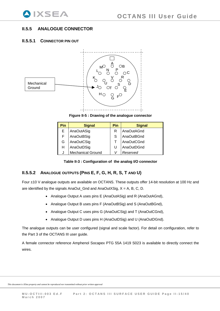# <span id="page-14-0"></span>**II.5.5 ANALOGUE CONNECTOR**

## **II.5.5.1 CONNECTOR PIN OUT**



**Figure II-5 : Drawing of the analogue connector** 

| Pin | <b>Signal</b>            | Pin | <b>Signal</b>     |
|-----|--------------------------|-----|-------------------|
| E   | AnaOutASig               | R   | AnaOutAGnd        |
| F   | AnaOutBSig               |     | <b>AnaOutBGnd</b> |
| G   | AnaOutCSig               |     | AnaOutCGnd        |
| н   | AnaOutDSig               |     | AnaOutDGnd        |
|     | <b>Mechanical Ground</b> |     | Reserved          |

 **Table II-3 : Configuration of the analog I/O connector** 

# <span id="page-14-1"></span>**II.5.5.2** ANALOGUE OUTPUTS (PINS E, F, G, H, R, S, T AND U)

Four  $±10$  V analogue outputs are available on OCTANS. These outputs offer 14-bit resolution at 100 Hz and are identified by the signals AnaOut\_Gnd and AnaOutXSig,  $X = A$ , B, C, D.

- Analogue Output A uses pins  $E$  (AnaOutASig) and R (AnaOutAGnd),
- Analogue Output B uses pins F (AnaOutBSig) and S (AnaOutBGnd),
- Analogue Output C uses pins G (AnaOutCSig) and T (AnaOutCGnd),
- Analogue Output D uses pins H (AnaOutDSig) and U (AnaOutDGnd).

The analogue outputs can be user configured (signal and scale factor). For detail on configuration, refer to the Part 3 of the OCTANS III user guide.

A female connector reference Amphenol Socapex PTG 55A 1419 S023 is available to directly connect the wires.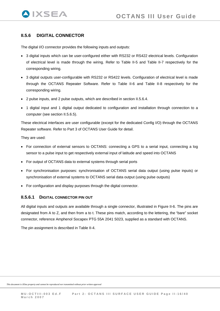# <span id="page-15-1"></span><span id="page-15-0"></span>**II.5.6 DIGITAL CONNECTOR**

The digital I/O connector provides the following inputs and outputs:

- 3 digital inputs which can be user-configured either with RS232 or RS422 electrical levels. Configuration of electrical level is made through the wiring. Refer to [Table II-5](#page-17-2) and [Table II-7](#page-18-2) respectively for the corresponding wiring.
- 3 digital outputs user-configurable with RS232 or RS422 levels. Configuration of electrical level is made through the OCTANS Repeater Software. Refer to [Table II-6](#page-17-3) and [Table II-8](#page-18-3) respectively for the corresponding wiring.
- 2 pulse inputs, and 2 pulse outputs, which are described in section [II.5.6.4](#page-19-1).
- 1 digital input and 1 digital output dedicated to configuration and installation through connection to a computer (see section [II.5.6.5\)](#page-20-3).

These electrical interfaces are user configurable (except for the dedicated Config I/O) through the OCTANS Repeater software. Refer to Part 3 of OCTANS User Guide for detail.

They are used:

- For connection of external sensors to OCTANS: connecting a GPS to a serial input, connecting a log sensor to a pulse input to get respectively external input of latitude and speed into OCTANS
- For output of OCTANS data to external systems through serial ports
- For synchronisation purposes: synchronisation of OCTANS serial data output (using pulse inputs) or synchronisation of external systems to OCTANS serial data output (using pulse outputs)
- For configuration and display purposes through the digital connector.

### **II.5.6.1 DIGITAL CONNECTOR PIN OUT**

All digital inputs and outputs are available through a single connector, illustrated in [Figure II-6](#page-16-0). The pins are designated from A to Z, and then from a to t. These pins match, according to the lettering, the "bare" socket connector, reference Amphenol Socapex PTG 55A 2041 S023, supplied as a standard with OCTANS.

The pin assignment is described in [Table II-4.](#page-16-1)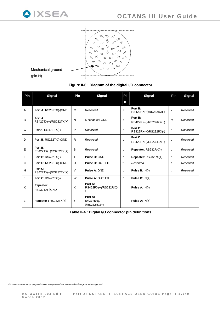

## **Figure II-6 : Diagram of the digital I/O connector**

<span id="page-16-0"></span>

| Pin | <b>Signal</b>                    | Pin    | <b>Signal</b>                                 | Pi           | <b>Signal</b>                    | Pin          | <b>Signal</b> |
|-----|----------------------------------|--------|-----------------------------------------------|--------------|----------------------------------|--------------|---------------|
|     |                                  |        |                                               | n            |                                  |              |               |
| A   | Port A: RS232TX(-)GND            | M      | Reserved                                      | Z            | Port B:<br>RS422RX(+)/RS232RX(-) | k            | Reserved      |
| B   | Port A:<br>RS422TX(+)/RS232TX(+) | N      | <b>Mechanical GND</b>                         | a            | Port B:<br>RS422RX(-)/RS232RX(+) | m            | Reserved      |
| C   | <b>PortA: RS422 TX(-)</b>        | P      | Reserved                                      | b            | Port C:<br>RS422RX(+)/RS232RX(-) | n            | Reserved      |
| D   | Port B: RS232TX(-)GND            | R.     | Reserved                                      | C            | Port C:<br>RS422RX(-)/RS232RX(+) | p            | Reserved      |
| E   | Port B:<br>RS422TX(+)/RS232TX(+) | S      | Reserved                                      | d            | Repeater: RS232RX(-)             | q            | Reserved      |
| F   | <b>Port B: RS422TX(-)</b>        | T      | Pulse B: GND                                  | e            | Repeater: RS232RX(+)             | $\mathsf{r}$ | Reserved      |
| G   | Port C: RS232TX(-)GND            | $\cup$ | <b>Pulse B: OUT TTL</b>                       | $\mathsf{f}$ | Reserved                         | s            | Reserved      |
| H   | Port C:<br>RS422TX(+)/RS232TX(+) | $\vee$ | <b>Pulse A: GND</b>                           | g            | Pulse $B: IN(-)$                 | t            | Reserved      |
| J   | <b>Port C: RS422TX(-)</b>        | W      | <b>Pulse A: OUT TTL</b>                       | h            | Pulse B: $IN(+)$                 |              |               |
| K   | Repeater:<br>RS232TX(-)GND       | X      | Port A:<br>RS422RX(+)/RS232RX(-               | Ť            | Pulse A: $IN(-)$                 |              |               |
| L   | Repeater: RS232TX(+)             | Y      | Port A:<br><b>RS422RX(-</b><br>$)/RS232RX(+)$ |              | Pulse A: $IN(+)$                 |              |               |

<span id="page-16-1"></span>**Table II-4 : Digital I/O connector pin definitions**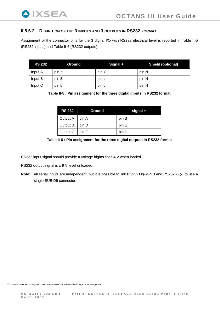### <span id="page-17-1"></span><span id="page-17-0"></span>**II.5.6.2 DEFINITION OF THE 3 INPUTS AND 3 OUTPUTS IN RS232 FORMAT**

Assignment of the connector pins for the 3 digital I/O with RS232 electrical level is reported in [Table II-5](#page-17-2) (RS232 inputs) and [Table II-6](#page-17-3) (RS232 outputs).

<span id="page-17-2"></span>

| <b>RS 232</b> | <b>Ground</b> | Signal + | <b>Shield (optional)</b> |
|---------------|---------------|----------|--------------------------|
| Input A       | pin X         | pin Y    | pin N                    |
| Input B       | pin Z         | pin a    | pin N                    |
| Input C       | pin b         | pin c    | pin N                    |

**Table II-5 : Pin assignment for the three digital inputs in RS232 format** 

| <b>RS 232</b> | Ground | signal + |
|---------------|--------|----------|
| Output A      | pin A  | pin B    |
| Output B      | pin D  | pin E    |
| Output C      | pin G  | pin H    |



<span id="page-17-3"></span>RS232 input signal should provide a voltage higher than 4 V when loaded.

RS232 output signal is  $\pm$  9 V level unloaded.

**Note**: all serial inputs are independent, but it is possible to link RS232TX(-)GND and RS232RX(-) to use a single SUB D9 connector.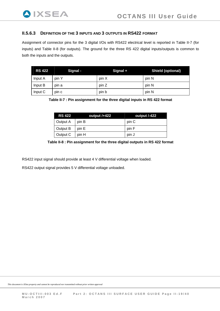# <span id="page-18-0"></span>**II.5.6.3 DEFINITION OF THE 3 INPUTS AND 3 OUTPUTS IN RS422 FORMAT**

Assignment of connector pins for the 3 digital I/Os with RS422 electrical level is reported in [Table II-7](#page-18-2) (for inputs) and [Table II-8](#page-18-3) (for outputs). The ground for the three RS 422 digital inputs/outputs is common to both the inputs and the outputs.

<span id="page-18-2"></span>

| <b>RS 422</b> | Signal - | Signal + | <b>Shield (optional)</b> |
|---------------|----------|----------|--------------------------|
| Input A       | pin Y    | pin X    | pin N                    |
| Input B       | pin a    | pin Z    | pin N                    |
| Input C       | pin c    | pin b    | pin N                    |

**Table II-7 : Pin assignment for the three digital inputs in RS 422 format** 

| <b>RS 422</b> | output /+422 | output /-422 |
|---------------|--------------|--------------|
| Output A      | pin B        | pin C        |
| Output B      | pin E        | pin F        |
| Output C      | pin H        | pin J        |

**Table II-8 : Pin assignment for the three digital outputs in RS 422 format** 

<span id="page-18-3"></span>RS422 input signal should provide at least 4 V differential voltage when loaded.

<span id="page-18-1"></span>RS422 output signal provides 5 V differential voltage unloaded.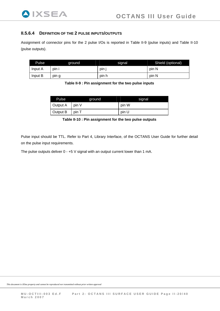<span id="page-19-0"></span>

## **II.5.6.4 DEFINITION OF THE 2 PULSE INPUTS/OUTPUTS**

Assignment of connector pins for the 2 pulse I/Os is reported in [Table II-9](#page-19-2) (pulse inputs) and [Table II-10](#page-19-3) (pulse outputs).

<span id="page-19-2"></span>

| Pulse   | ground | signal | Shield (optional) |
|---------|--------|--------|-------------------|
| Input A | pin i  | pin    | pin N             |
| Input B | pin g  | pin h  | pin N             |

**Table II-9 : Pin assignment for the two pulse inputs** 

| Pulse    | ground | signal |
|----------|--------|--------|
| Output A | pin V  | pin W  |
| Output B | pin T  | pin U  |

**Table II-10 : Pin assignment for the two pulse outputs** 

<span id="page-19-3"></span>Pulse input should be TTL. Refer to Part 4, Library Interface, of the OCTANS User Guide for further detail on the pulse input requirements.

<span id="page-19-1"></span>The pulse outputs deliver 0 - +5 V signal with an output current lower than 1 mA.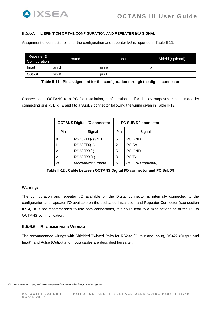## <span id="page-20-2"></span><span id="page-20-0"></span>**II.5.6.5 DEFINITION OF THE CONFIGURATION AND REPEATER I/O SIGNAL**

Assignment of connector pins for the configuration and repeater I/O is reported in [Table II-11.](#page-20-4)

| Repeater &<br>Configuration | around | input | Shield (optional) |
|-----------------------------|--------|-------|-------------------|
| Input                       | pin d  | pin e | pin 1             |
| Output                      | pin K  | pin L |                   |

**Table II-11 : Pin assignment for the configuration through the digital connector** 

<span id="page-20-4"></span>Connection of OCTANS to a PC for installation, configuration and/or display purposes can be made by connecting pins K, L, d, E and f to a SubD9 connector following the wiring given in [Table II-12.](#page-20-5)

| <b>OCTANS Digital I/O connector</b> |                          | <b>PC SUB D9 connector</b> |        |  |
|-------------------------------------|--------------------------|----------------------------|--------|--|
| Pin                                 | Signal                   | Pin<br>Signal              |        |  |
| κ                                   | RS232TX(-)GND            | 5                          | PC GND |  |
|                                     | RS232TX(+)               | PC Rx<br>$\overline{2}$    |        |  |
| d                                   | RS232RX(-)               | 5                          | PC GND |  |
| е                                   | $RS232RX(+)$             | 3                          | PC Tx  |  |
| Ν                                   | <b>Mechanical Ground</b> | PC GND (optional)<br>5     |        |  |

**Table II-12 : Cable between OCTANS Digital I/O connector and PC SubD9** 

#### <span id="page-20-5"></span><span id="page-20-3"></span>**Warning:**

The configuration and repeater I/O available on the Digital connector is internally connected to the configuration and repeater I/O available on the dedicated Installation and Repeater Connector (see section [II.5.4\)](#page-13-1). It is not recommended to use both connections, this could lead to a misfunctionning of the PC to OCTANS communication.

## <span id="page-20-1"></span>**II.5.6.6 RECOMMENDED WIRINGS**

The recommended wirings with Shielded Twisted Pairs for RS232 (Output and Input), RS422 (Output and Input), and Pulse (Output and Input) cables are described hereafter.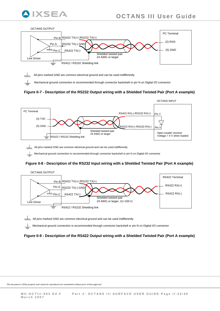





**Figure II-7 - Description of the RS232 Output wiring with a Shielded Twisted Pair (Port A example)** 



All pins marked GND are common electrical ground and can be used indifferently

Mechanical ground connection is recommended through connector backshell or pin N on Digital I/O connector

#### **Figure II-8 - Description of the RS232 Input wiring with a Shielded Twisted Pair (Port A example)**



 $\frac{1}{\sqrt{1-\sqrt{1-\frac{1}{\sqrt{1-\frac{1}{\sqrt{1-\frac{1}{\sqrt{1-\frac{1}{\sqrt{1-\frac{1}{\sqrt{1-\frac{1}{\sqrt{1-\frac{1}{\sqrt{1-\frac{1}{\sqrt{1-\frac{1}{\sqrt{1-\frac{1}{\sqrt{1-\frac{1}{\sqrt{1-\frac{1}{\sqrt{1-\frac{1}{\sqrt{1-\frac{1}{\sqrt{1-\frac{1}{\sqrt{1-\frac{1}{\sqrt{1-\frac{1}{\sqrt{1-\frac{1}{\sqrt{1-\frac{1}{\sqrt{1-\frac{1}{\sqrt{1-\frac{1}{\sqrt{1-\frac{1}{\sqrt{1-\frac{1}{\sqrt{1$ 

Mechanical ground connection is recommended through connector backshell or pin N on Digital I/O connector

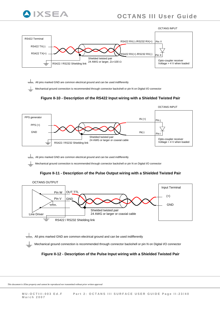



 $\overline{x}\overline{x}$  All pins marked GND are common electrical ground and can be used indifferently

Mechanical ground connection is recommended through connector backshell or pin N on Digital I/O connector





 $\overline{\text{c}}$ , All pins marked GND are common electrical ground and can be used indifferently

Mechanical ground connection is recommended through connector backshell or pin N on Digital I/O connector

#### **Figure II-11 - Description of the Pulse Output wiring with a Shielded Twisted Pair**



 $\frac{1}{\sqrt{1-\sqrt{1-\frac{1}{\sqrt{1-\frac{1}{\sqrt{1-\frac{1}{\sqrt{1-\frac{1}{\sqrt{1-\frac{1}{\sqrt{1-\frac{1}{\sqrt{1-\frac{1}{\sqrt{1-\frac{1}{\sqrt{1-\frac{1}{\sqrt{1-\frac{1}{\sqrt{1-\frac{1}{\sqrt{1-\frac{1}{\sqrt{1-\frac{1}{\sqrt{1-\frac{1}{\sqrt{1-\frac{1}{\sqrt{1-\frac{1}{\sqrt{1-\frac{1}{\sqrt{1-\frac{1}{\sqrt{1-\frac{1}{\sqrt{1-\frac{1}{\sqrt{1-\frac{1}{\sqrt{1-\frac{1}{\sqrt{1-\frac{1}{\sqrt{1$ Mechanical ground connection is recommended through connector backshell or pin N on Digital I/O connector

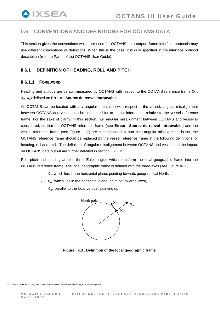# <span id="page-23-0"></span>**II.6 CONVENTIONS AND DEFINITIONS FOR OCTANS DATA**

This section gives the conventions which are used for OCTANS data output. Some interface protocols may use different conventions or definitions. When this is the case, it is duly specified in the interface protocol description (refer to Part 4 of the OCTANS User Guide).

# **II.6.1 DEFINITION OF HEADING, ROLL AND PITCH**

## **II.6.1.1 FOREWORD**

Heading and attitude are default measured by OCTANS with respect to the OCTANS reference frame (X<sub>1</sub>, X2, X3) defined on **Erreur ! Source du renvoi introuvable.**.

As OCTANS can be located with any angular orientation with respect to the vessel, angular misalignment between OCTANS and vessel can be accounted for to output information relative to the vessel reference frame. For the sake of clarity, in this section, null angular misalignment between OCTANS and vessel is considered, so that the OCTANS reference frame (see **Erreur ! Source du renvoi introuvable.**) and the vessel reference frame (see [Figure II-17\)](#page-29-1) are superimposed. If non zero angular misalignment is set, the OCTANS reference frame should be replaced by the vessel reference frame in the following definitions for heading, roll and pitch. The definition of angular misalignment between OCTANS and vessel and the impact on OCTANS data output are further detailed in section [II.7.1.2](#page-29-2).

Roll, pitch and heading are the three Euler angles which transform the local geographic frame into the OCTANS reference frame. The local geographic frame is defined with the three axes (see [Figure II-13\)](#page-23-1):

- $X_N$ , which lies in the horizontal plane, pointing towards geographical North,
- $X_w$ , which lies in the horizontal plane, pointing towards West,
- $X_{\text{un}}$ , parallel to the local vertical, pointing up.



<span id="page-23-1"></span>**Figure II-13 : Definition of the local geographic frame**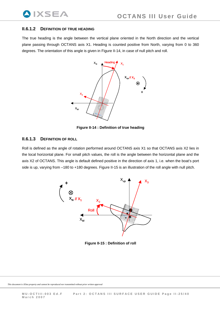### <span id="page-24-0"></span>**II.6.1.2 DEFINITION OF TRUE HEADING**

**IXSEA** 

The true heading is the angle between the vertical plane oriented in the North direction and the vertical plane passing through OCTANS axis X1. Heading is counted positive from North, varying from 0 to 360 degrees. The orientation of this angle is given in [Figure II-14,](#page-24-1) in case of null pitch and roll.



**Figure II-14 : Definition of true heading** 

## <span id="page-24-1"></span>**II.6.1.3 DEFINITION OF ROLL**

Roll is defined as the angle of rotation performed around OCTANS axis X1 so that OCTANS axis X2 lies in the local horizontal plane. For small pitch values, the roll is the angle between the horizontal plane and the axis X2 of OCTANS. This angle is default defined positive in the direction of axis 1, i.e. when the boat's port side is up, varying from –180 to +180 degrees. [Figure II-15](#page-24-2) is an illustration of the roll angle with null pitch.



<span id="page-24-2"></span>**Figure II-15 : Definition of roll**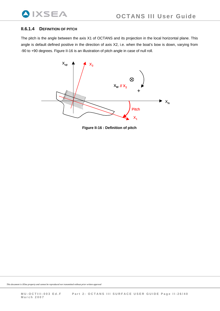# <span id="page-25-0"></span>**II.6.1.4 DEFINITION OF PITCH**

The pitch is the angle between the axis X1 of OCTANS and its projection in the local horizontal plane. This angle is default defined positive in the direction of axis X2, i.e. when the boat's bow is down, varying from -90 to +90 degrees. [Figure II-16](#page-25-1) is an illustration of pitch angle in case of null roll.

<span id="page-25-1"></span>

**Figure II-16 : Definition of pitch**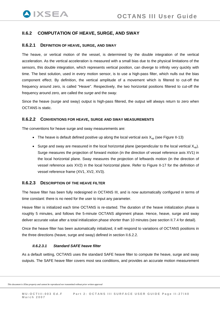# <span id="page-26-0"></span>**II.6.2 COMPUTATION OF HEAVE, SURGE, AND SWAY**

#### **II.6.2.1 DEFINITION OF HEAVE, SURGE, AND SWAY**

The heave, or vertical motion of the vessel, is determined by the double integration of the vertical acceleration. As the vertical acceleration is measured with a small bias due to the physical limitations of the sensors, this double integration, which represents vertical position, can diverge to infinity very quickly with time. The best solution, used in every motion sensor, is to use a high-pass filter, which nulls out the bias component effect. By definition, the vertical amplitude of a movement which is filtered to cut-off the frequency around zero, is called "Heave". Respectively, the two horizontal positions filtered to cut-off the frequency around zero, are called the *surge* and the *sway.* 

Since the heave (surge and sway) output is high-pass filtered, the output will always return to zero when OCTANS is static.

#### <span id="page-26-1"></span>**II.6.2.2 CONVENTIONS FOR HEAVE, SURGE AND SWAY MEASUREMENTS**

The conventions for heave surge and sway measurements are:

- The heave is default defined positive up along the local vertical axis  $X_{\text{up}}$  (see [Figure II-13\)](#page-23-1)
- Surge and sway are measured in the local horizontal plane (perpendicular to the local vertical  $X_{\text{up}}$ ). Surge measures the projection of forward motion (in the direction of vessel reference axis XV1) in the local horizontal plane. Sway measures the projection of leftwards motion (in the direction of vessel reference axis XV2) in the local horizontal plane. Refer to [Figure II-17](#page-29-1) for the definition of vessel reference frame (XV1, XV2, XV3).

#### **II.6.2.3 DESCRIPTION OF THE HEAVE FILTER**

The heave filter has been fully redesigned in OCTANS III, and is now automatically configured in terms of time constant: there is no need for the user to input any parameter.

Heave filter is initialized each time OCTANS is re-started. The duration of the heave initialization phase is roughly 5 minutes, and follows the 5-minute OCTANS alignment phase. Hence, heave, surge and sway deliver accurate value after a total initialization phase shorter than 10 minutes (see section [II.7.4](#page-38-1) for detail).

Once the heave filter has been automatically initialized, it will respond to variations of OCTANS positions in the three directions (heave, surge and sway) defined in section [II.6.2.2.](#page-26-1)

#### *II.6.2.3.1 Standard SAFE heave filter*

As a default setting, OCTANS uses the standard SAFE heave filter to compute the heave, surge and sway outputs. The SAFE heave filter covers most sea conditions, and provides an accurate motion measurement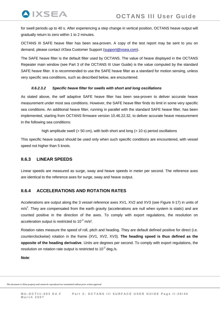for swell periods up to 40 s. After experiencing a step change in vertical position, OCTANS heave output will gradually return to zero within 1 to 2 minutes.

OCTANS III SAFE heave filter has been sea-proven. A copy of the test report may be sent to you on demand, please contact iXSea Customer Support [\(support@ixsea.com\)](mailto:support@ixsea.com).

The SAFE heave filter is the default filter used by OCTANS. The value of heave displayed in the OCTANS Repeater main window (see Part 3 of the OCTANS III User Guide) is the value computed by the standard SAFE heave filter. It is recommended to use the SAFE heave filter as a standard for motion sensing, unless very specific sea conditions, such as described below, are encountered.

### *II.6.2.3.2 Specific heave filter for swells with short and long oscillations*

As stated above, the self adaptive SAFE heave filter has been sea-proven to deliver accurate heave measurement under most sea conditions. However, the SAFE heave filter finds its limit in some very specific sea conditions. An additional heave filter, running in parallel with the standard SAFE heave filter, has been implemented, starting from OCTANS firmware version 10.46.22.32, to deliver accurate heave measurement in the following sea conditions:

high amplitude swell (> 50 cm), with both short and long (> 10 s) period oscillations

This specific heave output should be used only when such specific conditions are encountered, with vessel speed not higher than 5 knots.

# **II.6.3 LINEAR SPEEDS**

<span id="page-27-0"></span>**AIXSEA** 

Linear speeds are measured as surge, sway and heave speeds in meter per second. The reference axes are identical to the reference axes for surge, sway and heave output.

# **II.6.4 ACCELERATIONS AND ROTATION RATES**

Accelerations are output along the 3 vessel reference axes XV1, XV2 and XV3 (see [Figure II-17\)](#page-29-1) in units of  $m/s<sup>2</sup>$ . They are compensated from the earth gravity (accelerations are null when system is static) and are counted positive in the direction of the axes. To comply with export regulations, the resolution on acceleration output is restricted to  $10^{-2}$  m/s<sup>2</sup>.

Rotation rates measure the speed of roll, pitch and heading. They are default defined positive for direct (i.e. counterclockwise) rotation in the frame (XV1, XV2, XV3). **The heading speed is thus defined as the opposite of the heading derivative**. Units are degrees per second. To comply with export regulations, the resolution on rotation rate output is restricted to  $10^{-2}$  deg./s.

**Note**: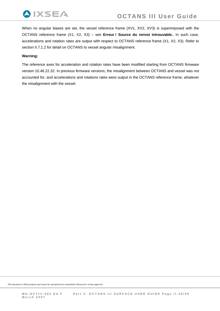

When no angular biases are set, the vessel reference frame (XV1, XV2, XV3) is superimposed with the OCTANS reference frame (X1, X2, X3) – see **Erreur ! Source du renvoi introuvable.**. In such case, accelerations and rotation rates are output with respect to OCTANS reference frame (X1, X2, X3). Refer to section [II.7.1.2](#page-29-2) for detail on OCTANS to vessel angular misalignment.

#### **Warning:**

The reference axes for acceleration and rotation rates have been modified starting from OCTANS firmware version 10.46.22.32. In previous firmware versions, the misalignment between OCTANS and vessel was not accounted for, and accelerations and rotations rates were output in the OCTANS reference frame, whatever the misalignment with the vessel.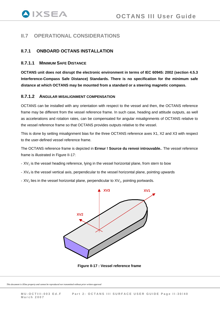# <span id="page-29-0"></span>**II.7 OPERATIONAL CONSIDERATIONS**

# **II.7.1 ONBOARD OCTANS INSTALLATION**

### **II.7.1.1 MINIMUM SAFE DISTANCE**

**OCTANS unit does not disrupt the electronic environment in terms of IEC 60945: 2002 (section 4.5.3 Interference-Compass Safe Distance) Standards. There is no specification for the minimum safe distance at which OCTANS may be mounted from a standard or a steering magnetic compass.** 

### <span id="page-29-2"></span>**II.7.1.2 ANGULAR MISALIGNMENT COMPENSATION**

OCTANS can be installed with any orientation with respect to the vessel and then, the OCTANS reference frame may be different from the vessel reference frame. In such case, heading and attitude outputs, as well as accelerations and rotation rates, can be compensated for angular misalignments of OCTANS relative to the vessel reference frame so that OCTANS provides outputs relative to the vessel.

This is done by setting misalignment bias for the three OCTANS reference axes X1, X2 and X3 with respect to the user-defined vessel reference frame.

The OCTANS reference frame is depicted in **Erreur ! Source du renvoi introuvable.**. The vessel reference frame is illustrated in [Figure II-17](#page-29-1):

- $XV_1$  is the vessel heading reference, lying in the vessel horizontal plane, from stern to bow
- $XV_3$  is the vessel vertical axis, perpendicular to the vessel horizontal plane, pointing upwards
- $XV<sub>2</sub>$  lies in the vessel horizontal plane, perpendicular to  $XV<sub>1</sub>$ , pointing portwards.



<span id="page-29-1"></span>**Figure II-17 : Vessel reference frame**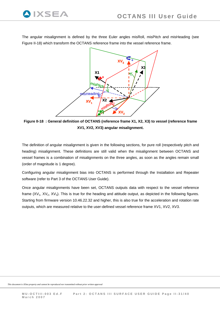

The angular misalignment is defined by the three Euler angles misRoll, misPitch and misHeading (see Figure II-18) which transform the OCTANS reference frame into the vessel reference frame.



**Figure II-18 : General definition of OCTANS (reference frame X1, X2, X3) to vessel (ref erence frame XV1, XV2, XV3) angular misalignment.** 

The definition of angular misalignment is given in the following sections, for pure roll (respectively pitch and heading) misalignment. These definitions are still valid when the misalignment between OCTANS and vessel frames is a combination of misalignments on the three angles, as soon as the angles remain small (order of magnitude is 1 degree).

Configuring angular misalignment bias into OCTANS is performed through the Installation and Repeater software (refer to Part 3 of the OCTANS User Guide).

Once angular misalignments have been set, OCTANS outputs data with respect to the vessel reference frame  $(XV_1, XV_2, XV_3)$ . This is true for the heading and attitude output, as depicted in the following figures. Starting from firmware version 10.46.22.32 and higher, this is also true for the acceleration and rotation rate outputs, which are measured relative to the user-defined vessel reference frame XV1, XV2, XV3.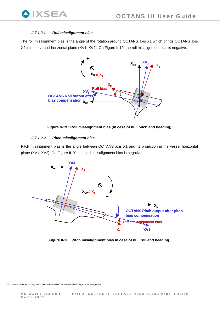<span id="page-31-0"></span>

### *II.7.1.2.1 Roll misalignment bias*

The roll misalignment bias is the angle of the rotation around OCTANS axis X1 which brings OCTANS axis X2 into the vessel horizontal plane (XV1, XV2). On [Figure II-19,](#page-31-1) the roll misalignment bias is negative.



**Figure II-19 : Roll misalignment bias (in case of null pitch and heading)** 

#### *II.7.1.2.2 Pitch misalignment bias*

<span id="page-31-1"></span>Pitch misalignment bias is the angle between OCTANS axis X1 and its projection in the vessel horizontal plane (XV1, XV2). On [Figure II-20,](#page-31-2) the pitch misalignment bias is negative.



<span id="page-31-2"></span>**Figure II-20 : Pitch misalignment bias in case of null roll and heading.**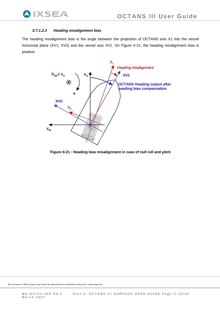#### <span id="page-32-0"></span>*II.7.1.2.3 Heading misalignment bias*

The heading misalignment bias is the angle between the projection of OCTANS axis X1 into the vessel horizontal plane (XV1, XV2) and the vessel axis XV1. On [Figure II-21,](#page-32-1) the heading misalignment bias is positive.



<span id="page-32-1"></span>**Figure II-21 : Heading bias misalignment in case of null roll and pitch**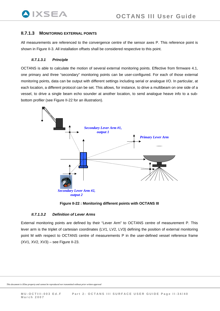## <span id="page-33-0"></span>**II.7.1.3 MONITORING EXTERNAL POINTS**

All measurements are referenced to the convergence centre of the sensor axes P. This reference point is shown in [Figure II-3.](#page-10-1) All installation offsets shall be considered respective to this point.

#### *II.7.1.3.1 Principle*

OCTANS is able to calculate the motion of several external monitoring points. Effective from firmware 4.1, one primary and three "secondary" monitoring points can be user-configured. For each of those external monitoring points, data can be output with different settings including serial or analogue I/O. In particular, at each location, a different protocol can be set. This allows, for instance, to drive a multibeam on one side of a vessel, to drive a single beam echo sounder at another location, to send analogue heave info to a subbottom profiler (see [Figure II-22](#page-33-1) for an illustration).



**Figure II-22 : Monitoring different points with OCTANS III** 

#### *II.7.1.3.2 Definition of Lever Arms*

<span id="page-33-1"></span>External monitoring points are defined by their "Lever Arm" to OCTANS centre of measurement P. This lever arm is the triplet of cartesian coordinates (LV1, LV2, LV3) defining the position of external monitoring point M with respect to OCTANS centre of measurements P in the user-defined vessel reference frame (XV1, XV2, XV3) – see [Figure II-23](#page-34-1).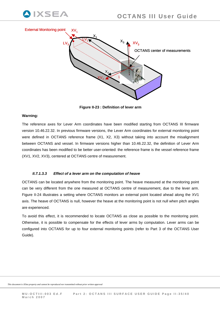<span id="page-34-0"></span>



**Figure II-23 : Definition of lever arm** 

#### <span id="page-34-1"></span>**Warning:**

The reference axes for Lever Arm coordinates have been modified starting from OCTANS III firmware version 10.46.22.32. In previous firmware versions, the Lever Arm coordinates for external monitoring point were defined in OCTANS reference frame (X1, X2, X3) without taking into account the misalignment between OCTANS and vessel. In firmware versions higher than 10.46.22.32, the definition of Lever Arm coordinates has been modified to be better user-oriented: the reference frame is the vessel reference frame (XV1, XV2, XV3), centered at OCTANS centre of measurement.

#### *II.7.1.3.3 Effect of a lever arm on the computation of heave*

OCTANS can be located anywhere from the monitoring point. The heave measured at the monitoring point can be very different from the one measured at OCTANS centre of measurement, due to the lever arm. [Figure II-24](#page-35-1) illustrates a setting where OCTANS monitors an external point located ahead along the XV1 axis. The heave of OCTANS is null, however the heave at the monitoring point is not null when pitch angles are experienced.

To avoid this effect, it is recommended to locate OCTANS as close as possible to the monitoring point. Otherwise, it is possible to compensate for the effects of lever arms by computation. Lever arms can be configured into OCTANS for up to four external monitoring points (refer to Part 3 of the OCTANS User Guide).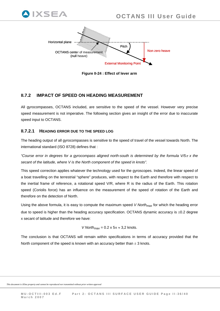

**Figure II-24 : Effect of lever arm** 

# <span id="page-35-1"></span>**II.7.2 IMPACT OF SPEED ON HEADING MEASUREMENT**

All gyrocompasses, OCTANS included, are sensitive to the speed of the vessel. However very precise speed measurement is not imperative. The following section gives an insight of the error due to inaccurate speed input to OCTANS.

# **II.7.2.1 HEADING ERROR DUE TO THE SPEED LOG**

<span id="page-35-0"></span>IXSEA

The heading output of all gyrocompasses is sensitive to the speed of travel of the vessel towards North. The international standard (ISO 8728) defines that :

*"Course error in degrees for a gyrocompass aligned north-south is determined by the formula V/5*π *x the secant of the latitude, where V is the North component of the speed in knots".* 

This speed correction applies whatever the technology used for the gyroscopes. Indeed, the linear speed of a boat travelling on the terrestrial "sphere" produces, with respect to the Earth and therefore with respect to the inertial frame of reference, a rotational speed V/R, where R is the radius of the Earth. This rotation speed (Coriolis force) has an influence on the measurement of the speed of rotation of the Earth and therefore on the detection of North.

Using the above formula, it is easy to compute the maximum speed *V Northmax* for which the heading error due to speed is higher than the heading accuracy specification. OCTANS dynamic accuracy is ±0.2 degree x secant of latitude and therefore we have:

*V North<sub>max</sub>* = 0.2 x  $5\pi \approx 3.2$  knots.

The conclusion is that OCTANS will remain within specifications in terms of accuracy provided that the North component of the speed is known with an accuracy better than  $\pm$  3 knots.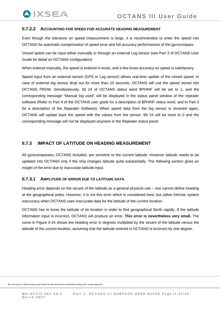### **II.7.2.2 ACCOUNTING FOR SPEED FOR ACCURATE HEADING MEASUREMENT**

<span id="page-36-0"></span>**QIXSEA** 

Even though the tolerance on speed measurement is large, it is recommended to enter the speed into OCTANS for automatic compensation of speed error and full accuracy performances of the gyrocompass.

Vessel speed can be input either manually or through an external Log sensor (see Part 3 of OCTANS User Guide for detail on OCTANS configuration).

When entered manually, the speed is entered in knots, and a few knots accuracy on speed is satisfactory.

Speed input from an external sensor (GPS or Log sensor) allows real-time update of the vessel speed. In case of external log sensor drop out for more than 10 seconds, OCTANS will use the speed stored into OCTANS PROM. Simultaneously, bit 24 of OCTANS status word \$PHINF will be set to 1, and the corresponding message "Manual log used" will be displayed in the status panel window of the repeater software (Refer to Part 4 of the OCTANS user guide for a description of \$PHINF status word, and to Part 3 for a description of the Repeater Software). When speed data from the log sensor is received again, OCTANS will update back the speed with the values from the sensor. Bit 24 will be reset to 0 and the corresponding message will not be displayed anymore in the Repeater status panel.

## **II.7.3 IMPACT OF LATITUDE ON HEADING MEASUREMENT**

All gyrocompasses, OCTANS included, are sensitive to the current latitude. However latitude needs to be updated into OCTANS only if the ship changes latitude quite substantially. The following section gives an insight of the error due to inaccurate latitude input.

#### **II.7.3.1 AMPLITUDE OF ERROR DUE TO LATITUDE DATA**

Heading error depends on the secant of the latitude as a general physical rule – one cannot define heading at the geographical poles. However, it is not this error which is considered here, but rather intrinsic system inaccuracy when OCTANS uses inaccurate data for the latitude of the current location.

OCTANS has to know the latitude of its location in order to find geographical North rapidly. If the latitude information input is incorrect, OCTANS will produce an error. **This error is nevertheless very small.** The curve in [Figure II-25](#page-37-1) shows the heading error in degrees multiplied by the secant of the latitude versus the latitude of the current location, assuming that the latitude entered in OCTANS is incorrect by one degree.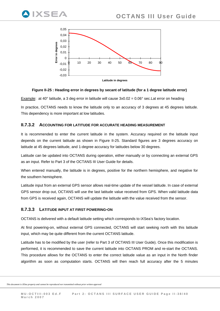<span id="page-37-0"></span>



#### **Figure II-25 : Heading error in degrees by secant of latitude (for a 1 degree latitude error)**

<span id="page-37-1"></span>Example: at 40° latitude, a 3 deg error in latitude will cause 3x0.02 = 0.06° sec.Lat error on heading In practice, OCTANS needs to know the latitude only to an accuracy of 3 degrees at 45 degrees latitude. This dependency is more important at low latitudes.

#### **II.7.3.2 ACCOUNTING FOR LATITUDE FOR ACCURATE HEADING MEASUREMENT**

It is recommended to enter the current latitude in the system. Accuracy required on the latitude input depends on the current latitude as shown in [Figure II-25.](#page-37-1) Standard figures are 3 degrees accuracy on latitude at 45 degrees latitude, and 1-degree accuracy for latitudes below 30 degrees.

Latitude can be updated into OCTANS during operation, either manually or by connecting an external GPS as an input. Refer to Part 3 of the OCTANS III User Guide for details.

When entered manually, the latitude is in degrees, positive for the northern hemisphere, and negative for the southern hemisphere.

Latitude input from an external GPS sensor allows real-time update of the vessel latitude. In case of external GPS sensor drop out, OCTANS will use the last latitude value received from GPS. When valid latitude data from GPS is received again, OCTANS will update the latitude with the value received from the sensor.

#### **II.7.3.3 LATITUDE INPUT AT FIRST POWERING-ON**

OCTANS is delivered with a default latitude setting which corresponds to iXSea's factory location.

At first powering-on, without external GPS connected, OCTANS will start seeking north with this latitude input, which may be quite different from the current OCTANS latitude.

Latitude has to be modified by the user (refer to Part 3 of OCTANS III User Guide). Once this modification is performed, it is recommended to save the current latitude into OCTANS PROM and re-start the OCTANS. This procedure allows for the OCTANS to enter the correct latitude value as an input in the North finder algorithm as soon as computation starts. OCTANS will then reach full accuracy after the 5 minutes

```
This document is iXSea property and cannot be reproduced nor transmitted without prior written approval
```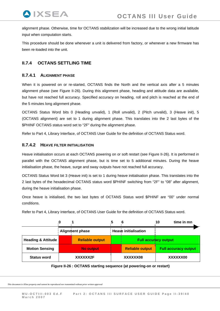<span id="page-38-0"></span>alignment phase. Otherwise, time for OCTANS stabilization will be increased due to the wrong initial latitude input when computation starts.

This procedure should be done whenever a unit is delivered from factory, or whenever a new firmware has been re-loaded into the unit.

# <span id="page-38-1"></span>**II.7.4 OCTANS SETTLING TIME**

## **II.7.4.1 ALIGNMENT PHASE**

When it is powered on or re-started, OCTANS finds the North and the vertical axis after a 5 minutes alignment phase (see [Figure II-26\)](#page-38-2). During this alignment phase, heading and attitude data are available, but have not reached full accuracy. Specified accuracy on heading, roll and pitch is reached at the end of the 5 minutes long alignment phase.

OCTANS Status Word bits 0 (Heading unvalid), 1 (Roll unvalid), 2 (Pitch unvalid), 3 (Heave init), 5 (OCTANS alignment) are set to 1 during alignment phase. This translates into the 2 last bytes of the \$PHINF OCTANS status word set to "2F" during the alignment phase.

Refer to Part 4, Library Interface, of OCTANS User Guide for the definition of OCTANS Status word.

## **II.7.4.2 HEAVE FILTER INITIALISATION**

Heave initialisation occurs at each OCTANS powering on or soft restart (see [Figure II-26](#page-38-2)). It is performed in parallel with the OCTANS alignment phase, but is time set to 5 additional minutes. During the heave initialisation phase, the heave, surge and sway outputs have not reached full accuracy.

OCTANS Status Word bit 3 (Heave init) is set to 1 during heave initialisation phase. This translates into the 2 last bytes of the hexadecimal OCTANS status word \$PHINF switching from "2F" to "08" after alignment, during the heave initialisation phase.

Once heave is initialised, the two last bytes of OCTANS Status word \$PHINF are "00" under normal conditions.

Refer to Part 4, Library Interface, of OCTANS User Guide for the definition of OCTANS Status word.

<span id="page-38-2"></span>

|                                |                  |                        |                             | 10       | time in mn                  |
|--------------------------------|------------------|------------------------|-----------------------------|----------|-----------------------------|
|                                |                  | <b>Alignment phase</b> | <b>Heave initialisation</b> |          |                             |
| <b>Heading &amp; Attitude</b>  |                  | <b>Reliable output</b> | <b>Full accuracy output</b> |          |                             |
| <b>Motion Sensing</b>          | <b>No output</b> |                        | <b>Reliable output</b>      |          | <b>Full accuracy output</b> |
| XXXXXX2F<br><b>Status word</b> |                  | XXXXXX08               |                             | XXXXXX00 |                             |

**Figure II-26 : OCTANS starting sequence (at powering-on or restart)**